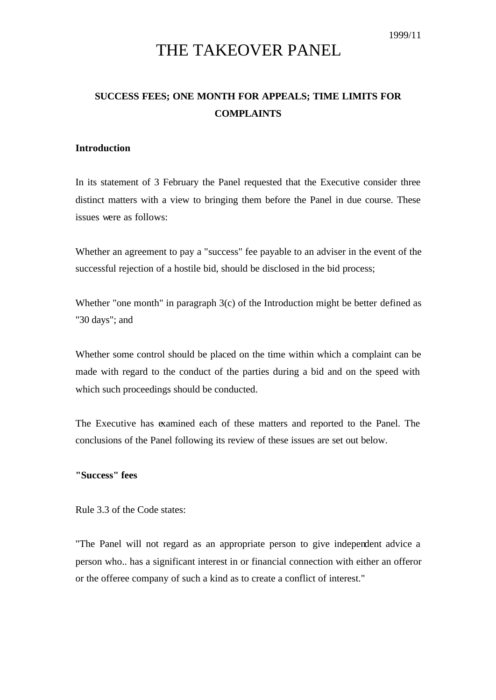# THE TAKEOVER PANEL

# **SUCCESS FEES; ONE MONTH FOR APPEALS; TIME LIMITS FOR COMPLAINTS**

#### **Introduction**

In its statement of 3 February the Panel requested that the Executive consider three distinct matters with a view to bringing them before the Panel in due course. These issues were as follows:

Whether an agreement to pay a "success" fee payable to an adviser in the event of the successful rejection of a hostile bid, should be disclosed in the bid process;

Whether "one month" in paragraph 3(c) of the Introduction might be better defined as "30 days"; and

Whether some control should be placed on the time within which a complaint can be made with regard to the conduct of the parties during a bid and on the speed with which such proceedings should be conducted.

The Executive has examined each of these matters and reported to the Panel. The conclusions of the Panel following its review of these issues are set out below.

### **"Success" fees**

Rule 3.3 of the Code states:

"The Panel will not regard as an appropriate person to give independent advice a person who.. has a significant interest in or financial connection with either an offeror or the offeree company of such a kind as to create a conflict of interest."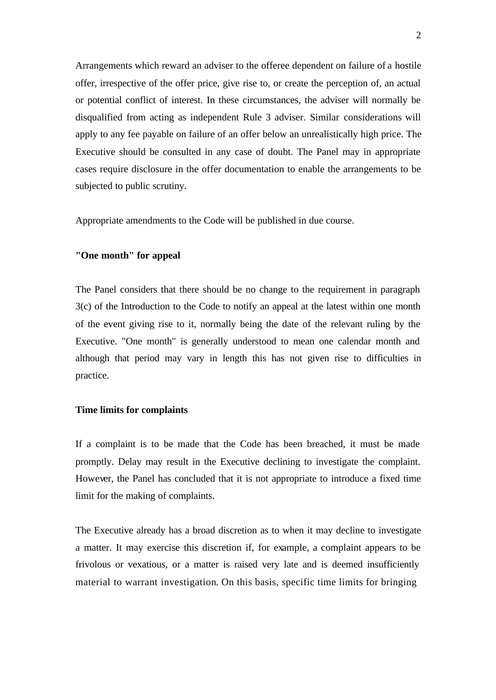Arrangements which reward an adviser to the offeree dependent on failure of a hostile offer, irrespective of the offer price, give rise to, or create the perception of, an actual or potential conflict of interest. In these circumstances, the adviser will normally be disqualified from acting as independent Rule 3 adviser. Similar considerations will apply to any fee payable on failure of an offer below an unrealistically high price. The Executive should be consulted in any case of doubt. The Panel may in appropriate cases require disclosure in the offer documentation to enable the arrangements to be subjected to public scrutiny.

Appropriate amendments to the Code will be published in due course.

## **"One month" for appeal**

The Panel considers that there should be no change to the requirement in paragraph 3(c) of the Introduction to the Code to notify an appeal at the latest within one month of the event giving rise to it, normally being the date of the relevant ruling by the Executive. "One month" is generally understood to mean one calendar month and although that period may vary in length this has not given rise to difficulties in practice.

#### **Time limits for complaints**

If a complaint is to be made that the Code has been breached, it must be made promptly. Delay may result in the Executive declining to investigate the complaint. However, the Panel has concluded that it is not appropriate to introduce a fixed time limit for the making of complaints.

The Executive already has a broad discretion as to when it may decline to investigate a matter. It may exercise this discretion if, for example, a complaint appears to be frivolous or vexatious, or a matter is raised very late and is deemed insufficiently material to warrant investigation. On this basis, specific time limits for bringing